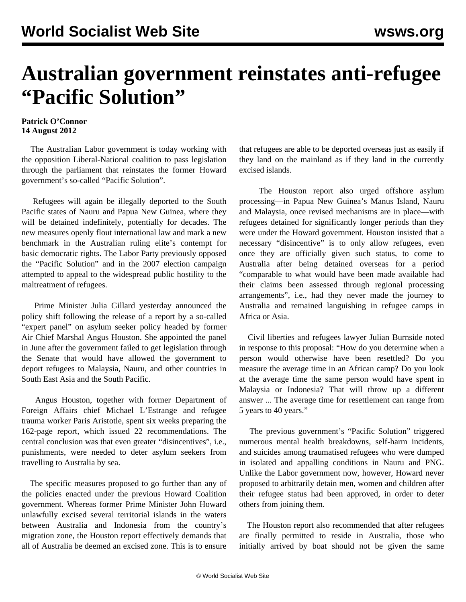## **Australian government reinstates anti-refugee "Pacific Solution"**

## **Patrick O'Connor 14 August 2012**

 The Australian Labor government is today working with the opposition Liberal-National coalition to pass legislation through the parliament that reinstates the former Howard government's so-called "Pacific Solution".

 Refugees will again be illegally deported to the South Pacific states of Nauru and Papua New Guinea, where they will be detained indefinitely, potentially for decades. The new measures openly flout international law and mark a new benchmark in the Australian ruling elite's contempt for basic democratic rights. The Labor Party previously opposed the "Pacific Solution" and in the 2007 election campaign attempted to appeal to the widespread public hostility to the maltreatment of refugees.

 Prime Minister Julia Gillard yesterday announced the policy shift following the release of a report by a so-called "expert panel" on asylum seeker policy headed by former Air Chief Marshal Angus Houston. She appointed the panel in June after the government failed to get legislation through the Senate that would have allowed the government to deport refugees to Malaysia, Nauru, and other countries in South East Asia and the South Pacific.

 Angus Houston, together with former Department of Foreign Affairs chief Michael L'Estrange and refugee trauma worker Paris Aristotle, spent six weeks preparing the 162-page report, which issued 22 recommendations. The central conclusion was that even greater "disincentives", i.e., punishments, were needed to deter asylum seekers from travelling to Australia by sea.

 The specific measures proposed to go further than any of the policies enacted under the previous Howard Coalition government. Whereas former Prime Minister John Howard unlawfully excised several territorial islands in the waters between Australia and Indonesia from the country's migration zone, the Houston report effectively demands that all of Australia be deemed an excised zone. This is to ensure

that refugees are able to be deported overseas just as easily if they land on the mainland as if they land in the currently excised islands.

 The Houston report also urged offshore asylum processing—in Papua New Guinea's Manus Island, Nauru and Malaysia, once revised mechanisms are in place—with refugees detained for significantly longer periods than they were under the Howard government. Houston insisted that a necessary "disincentive" is to only allow refugees, even once they are officially given such status, to come to Australia after being detained overseas for a period "comparable to what would have been made available had their claims been assessed through regional processing arrangements", i.e., had they never made the journey to Australia and remained languishing in refugee camps in Africa or Asia.

 Civil liberties and refugees lawyer Julian Burnside noted in response to this proposal: "How do you determine when a person would otherwise have been resettled? Do you measure the average time in an African camp? Do you look at the average time the same person would have spent in Malaysia or Indonesia? That will throw up a different answer ... The average time for resettlement can range from 5 years to 40 years."

 The previous government's "Pacific Solution" triggered numerous mental health breakdowns, self-harm incidents, and suicides among traumatised refugees who were dumped in isolated and appalling conditions in Nauru and PNG. Unlike the Labor government now, however, Howard never proposed to arbitrarily detain men, women and children after their refugee status had been approved, in order to deter others from joining them.

 The Houston report also recommended that after refugees are finally permitted to reside in Australia, those who initially arrived by boat should not be given the same